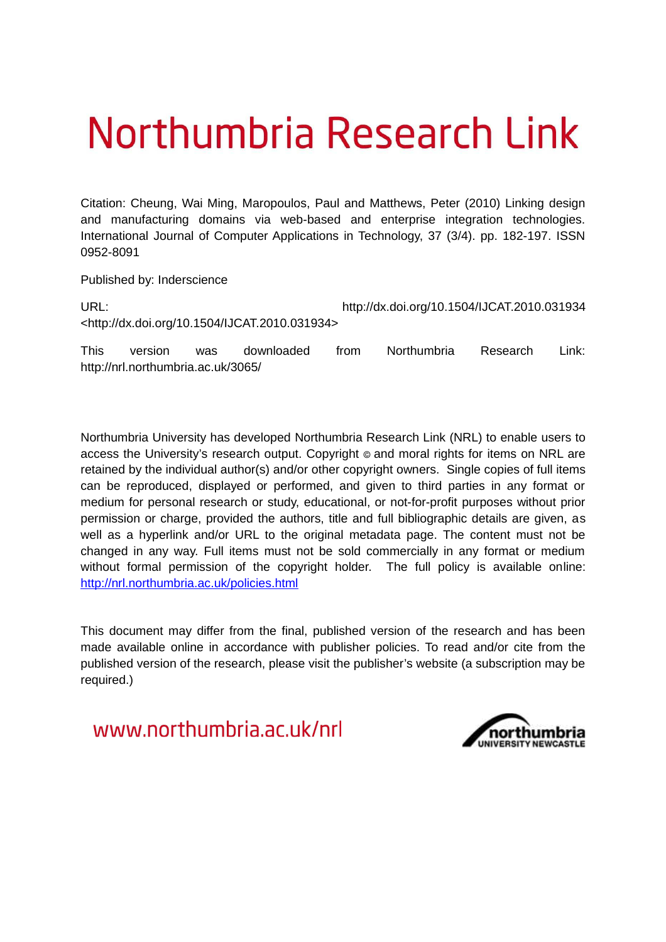# Northumbria Research Link

Citation: Cheung, Wai Ming, Maropoulos, Paul and Matthews, Peter (2010) Linking design and manufacturing domains via web-based and enterprise integration technologies. International Journal of Computer Applications in Technology, 37 (3/4). pp. 182-197. ISSN 0952-8091

Published by: Inderscience

URL: http://dx.doi.org/10.1504/IJCAT.2010.031934 <http://dx.doi.org/10.1504/IJCAT.2010.031934>

This version was downloaded from Northumbria Research Link: http://nrl.northumbria.ac.uk/3065/

Northumbria University has developed Northumbria Research Link (NRL) to enable users to access the University's research output. Copyright  $\circ$  and moral rights for items on NRL are retained by the individual author(s) and/or other copyright owners. Single copies of full items can be reproduced, displayed or performed, and given to third parties in any format or medium for personal research or study, educational, or not-for-profit purposes without prior permission or charge, provided the authors, title and full bibliographic details are given, as well as a hyperlink and/or URL to the original metadata page. The content must not be changed in any way. Full items must not be sold commercially in any format or medium without formal permission of the copyright holder. The full policy is available online: <http://nrl.northumbria.ac.uk/policies.html>

This document may differ from the final, published version of the research and has been made available online in accordance with publisher policies. To read and/or cite from the published version of the research, please visit the publisher's website (a subscription may be required.)

www.northumbria.ac.uk/nrl

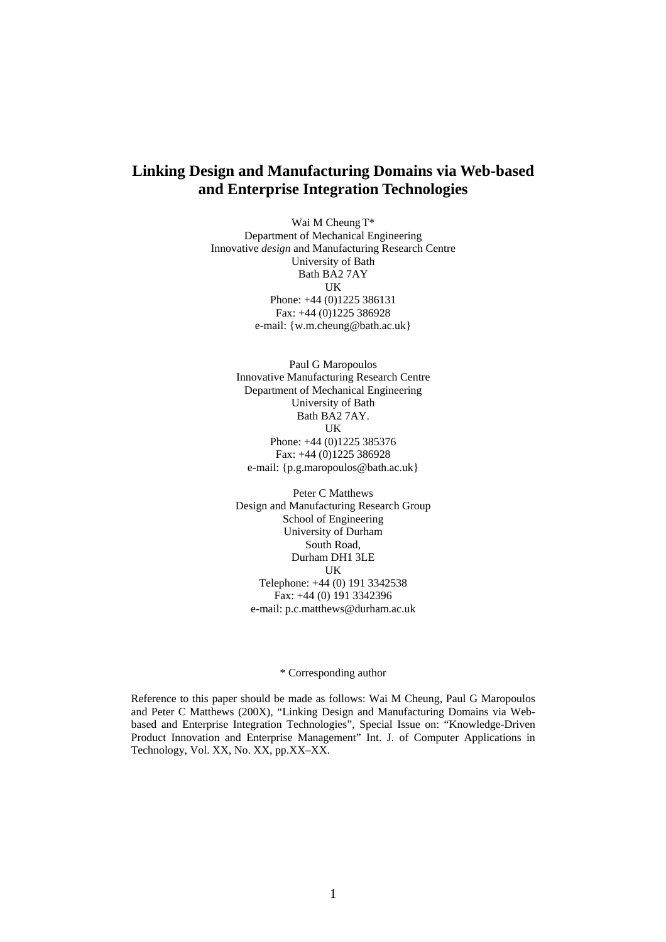## **Linking Design and Manufacturing Domains via Web-based and Enterprise Integration Technologies**

Wai M Cheung T\* Department of Mechanical Engineering Innovative *design* and Manufacturing Research Centre University of Bath Bath BA2 7AY UK Phone: +44 (0)1225 386131 Fax: +44 (0)1225 386928 e-mail: {w.m.cheung@bath.ac.uk}

> Paul G Maropoulos Innovative Manufacturing Research Centre Department of Mechanical Engineering University of Bath Bath BA2 7AY. UK Phone: +44 (0)1225 385376 Fax: +44 (0)1225 386928 e-mail: {p.g.maropoulos@bath.ac.uk}

> Peter C Matthews Design and Manufacturing Research Group School of Engineering University of Durham South Road, Durham DH1 3LE **IIK** Telephone: +44 (0) 191 3342538 Fax: +44 (0) 191 3342396 e-mail: p.c.matthews@durham.ac.uk

> > \* Corresponding author

Reference to this paper should be made as follows: Wai M Cheung, Paul G Maropoulos and Peter C Matthews (200X), "Linking Design and Manufacturing Domains via Webbased and Enterprise Integration Technologies", Special Issue on: "Knowledge-Driven Product Innovation and Enterprise Management" Int. J. of Computer Applications in Technology, Vol. XX, No. XX, pp.XX–XX.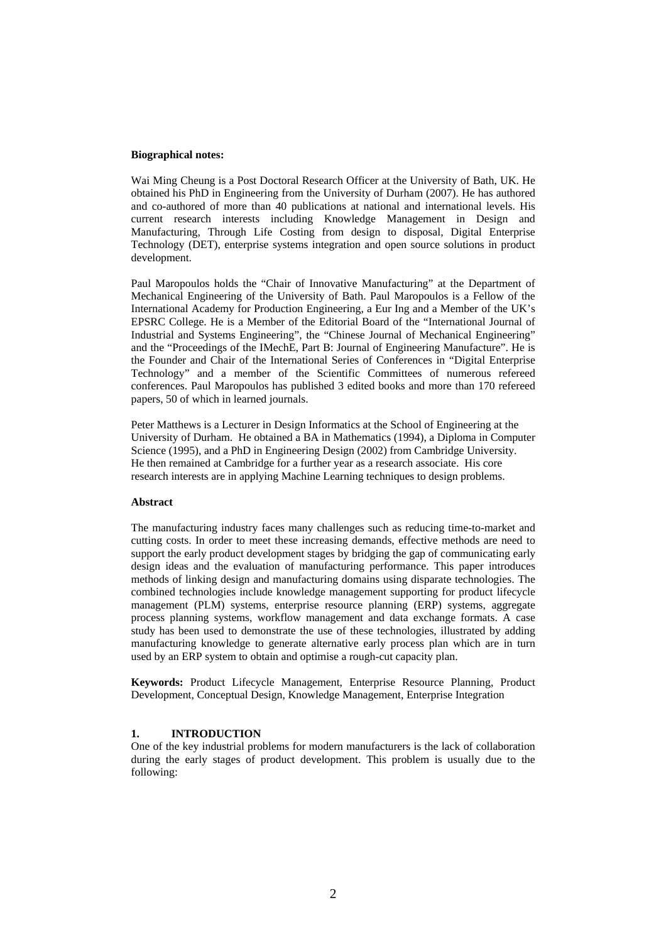#### **Biographical notes:**

Wai Ming Cheung is a Post Doctoral Research Officer at the University of Bath, UK. He obtained his PhD in Engineering from the University of Durham (2007). He has authored and co-authored of more than 40 publications at national and international levels. His current research interests including Knowledge Management in Design and Manufacturing, Through Life Costing from design to disposal, Digital Enterprise Technology (DET), enterprise systems integration and open source solutions in product development.

Paul Maropoulos holds the "Chair of Innovative Manufacturing" at the Department of Mechanical Engineering of the University of Bath. Paul Maropoulos is a Fellow of the International Academy for Production Engineering, a Eur Ing and a Member of the UK's EPSRC College. He is a Member of the Editorial Board of the "International Journal of Industrial and Systems Engineering", the "Chinese Journal of Mechanical Engineering" and the "Proceedings of the IMechE, Part B: Journal of Engineering Manufacture". He is the Founder and Chair of the International Series of Conferences in "Digital Enterprise Technology" and a member of the Scientific Committees of numerous refereed conferences. Paul Maropoulos has published 3 edited books and more than 170 refereed papers, 50 of which in learned journals.

Peter Matthews is a Lecturer in Design Informatics at the School of Engineering at the University of Durham. He obtained a BA in Mathematics (1994), a Diploma in Computer Science (1995), and a PhD in Engineering Design (2002) from Cambridge University. He then remained at Cambridge for a further year as a research associate. His core research interests are in applying Machine Learning techniques to design problems.

#### **Abstract**

The manufacturing industry faces many challenges such as reducing time-to-market and cutting costs. In order to meet these increasing demands, effective methods are need to support the early product development stages by bridging the gap of communicating early design ideas and the evaluation of manufacturing performance. This paper introduces methods of linking design and manufacturing domains using disparate technologies. The combined technologies include knowledge management supporting for product lifecycle management (PLM) systems, enterprise resource planning (ERP) systems, aggregate process planning systems, workflow management and data exchange formats. A case study has been used to demonstrate the use of these technologies, illustrated by adding manufacturing knowledge to generate alternative early process plan which are in turn used by an ERP system to obtain and optimise a rough-cut capacity plan.

**Keywords:** Product Lifecycle Management, Enterprise Resource Planning, Product Development, Conceptual Design, Knowledge Management, Enterprise Integration

#### **1. INTRODUCTION**

One of the key industrial problems for modern manufacturers is the lack of collaboration during the early stages of product development. This problem is usually due to the following: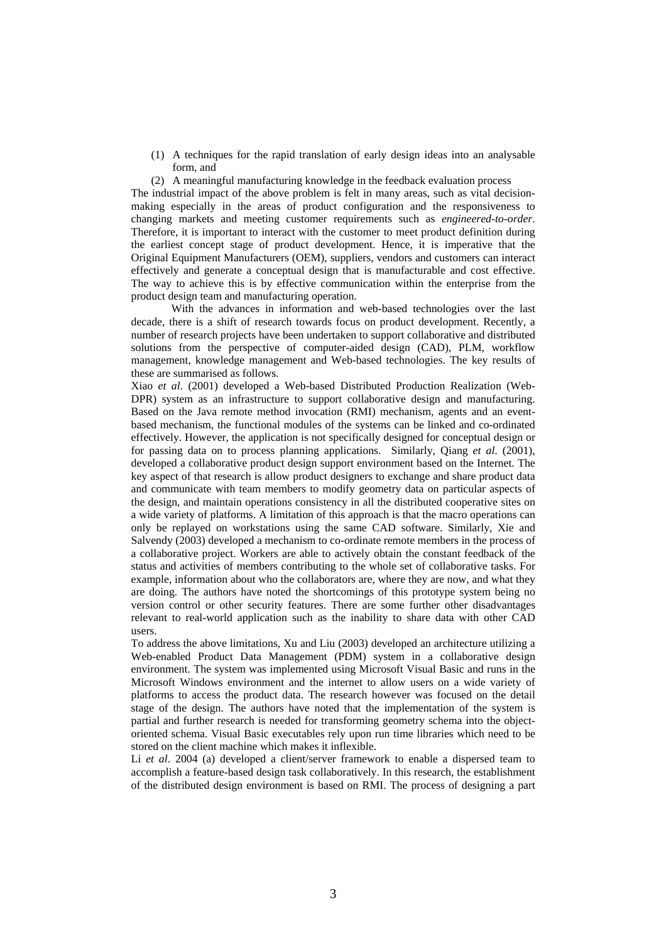- (1) A techniques for the rapid translation of early design ideas into an analysable form, and
- (2) A meaningful manufacturing knowledge in the feedback evaluation process

The industrial impact of the above problem is felt in many areas, such as vital decisionmaking especially in the areas of product configuration and the responsiveness to changing markets and meeting customer requirements such as *engineered-to-order*. Therefore, it is important to interact with the customer to meet product definition during the earliest concept stage of product development. Hence, it is imperative that the Original Equipment Manufacturers (OEM), suppliers, vendors and customers can interact effectively and generate a conceptual design that is manufacturable and cost effective. The way to achieve this is by effective communication within the enterprise from the product design team and manufacturing operation.

 With the advances in information and web-based technologies over the last decade, there is a shift of research towards focus on product development. Recently, a number of research projects have been undertaken to support collaborative and distributed solutions from the perspective of computer-aided design (CAD), PLM, workflow management, knowledge management and Web-based technologies. The key results of these are summarised as follows.

Xiao *et al*. (2001) developed a Web-based Distributed Production Realization (Web-DPR) system as an infrastructure to support collaborative design and manufacturing. Based on the Java remote method invocation (RMI) mechanism, agents and an eventbased mechanism, the functional modules of the systems can be linked and co-ordinated effectively. However, the application is not specifically designed for conceptual design or for passing data on to process planning applications. Similarly, Qiang *et al*. (2001), developed a collaborative product design support environment based on the Internet. The key aspect of that research is allow product designers to exchange and share product data and communicate with team members to modify geometry data on particular aspects of the design, and maintain operations consistency in all the distributed cooperative sites on a wide variety of platforms. A limitation of this approach is that the macro operations can only be replayed on workstations using the same CAD software. Similarly, Xie and Salvendy (2003) developed a mechanism to co-ordinate remote members in the process of a collaborative project. Workers are able to actively obtain the constant feedback of the status and activities of members contributing to the whole set of collaborative tasks. For example, information about who the collaborators are, where they are now, and what they are doing. The authors have noted the shortcomings of this prototype system being no version control or other security features. There are some further other disadvantages relevant to real-world application such as the inability to share data with other CAD users.

To address the above limitations, Xu and Liu (2003) developed an architecture utilizing a Web-enabled Product Data Management (PDM) system in a collaborative design environment. The system was implemented using Microsoft Visual Basic and runs in the Microsoft Windows environment and the internet to allow users on a wide variety of platforms to access the product data. The research however was focused on the detail stage of the design. The authors have noted that the implementation of the system is partial and further research is needed for transforming geometry schema into the objectoriented schema. Visual Basic executables rely upon run time libraries which need to be stored on the client machine which makes it inflexible.

Li *et al*. 2004 (a) developed a client/server framework to enable a dispersed team to accomplish a feature-based design task collaboratively. In this research, the establishment of the distributed design environment is based on RMI. The process of designing a part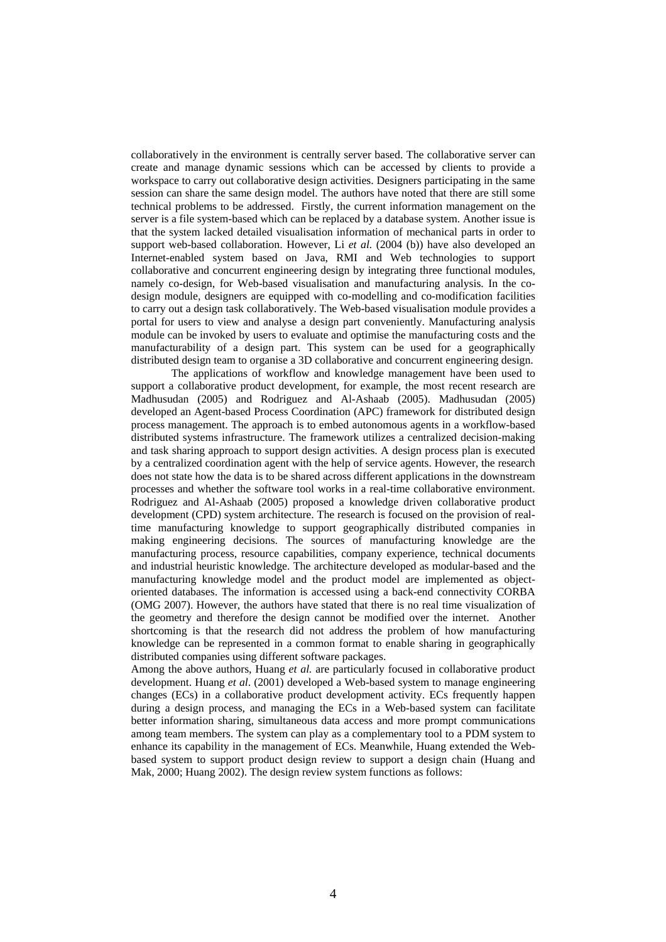collaboratively in the environment is centrally server based. The collaborative server can create and manage dynamic sessions which can be accessed by clients to provide a workspace to carry out collaborative design activities. Designers participating in the same session can share the same design model. The authors have noted that there are still some technical problems to be addressed. Firstly, the current information management on the server is a file system-based which can be replaced by a database system. Another issue is that the system lacked detailed visualisation information of mechanical parts in order to support web-based collaboration. However, Li *et al.* (2004 (b)) have also developed an Internet-enabled system based on Java, RMI and Web technologies to support collaborative and concurrent engineering design by integrating three functional modules, namely co-design, for Web-based visualisation and manufacturing analysis. In the codesign module, designers are equipped with co-modelling and co-modification facilities to carry out a design task collaboratively. The Web-based visualisation module provides a portal for users to view and analyse a design part conveniently. Manufacturing analysis module can be invoked by users to evaluate and optimise the manufacturing costs and the manufacturability of a design part. This system can be used for a geographically distributed design team to organise a 3D collaborative and concurrent engineering design.

 The applications of workflow and knowledge management have been used to support a collaborative product development, for example, the most recent research are Madhusudan (2005) and Rodriguez and Al-Ashaab (2005). Madhusudan (2005) developed an Agent-based Process Coordination (APC) framework for distributed design process management. The approach is to embed autonomous agents in a workflow-based distributed systems infrastructure. The framework utilizes a centralized decision-making and task sharing approach to support design activities. A design process plan is executed by a centralized coordination agent with the help of service agents. However, the research does not state how the data is to be shared across different applications in the downstream processes and whether the software tool works in a real-time collaborative environment. Rodriguez and Al-Ashaab (2005) proposed a knowledge driven collaborative product development (CPD) system architecture. The research is focused on the provision of realtime manufacturing knowledge to support geographically distributed companies in making engineering decisions. The sources of manufacturing knowledge are the manufacturing process, resource capabilities, company experience, technical documents and industrial heuristic knowledge. The architecture developed as modular-based and the manufacturing knowledge model and the product model are implemented as objectoriented databases. The information is accessed using a back-end connectivity CORBA (OMG 2007). However, the authors have stated that there is no real time visualization of the geometry and therefore the design cannot be modified over the internet. Another shortcoming is that the research did not address the problem of how manufacturing knowledge can be represented in a common format to enable sharing in geographically distributed companies using different software packages.

Among the above authors, Huang *et al.* are particularly focused in collaborative product development. Huang *et al*. (2001) developed a Web-based system to manage engineering changes (ECs) in a collaborative product development activity. ECs frequently happen during a design process, and managing the ECs in a Web-based system can facilitate better information sharing, simultaneous data access and more prompt communications among team members. The system can play as a complementary tool to a PDM system to enhance its capability in the management of ECs. Meanwhile, Huang extended the Webbased system to support product design review to support a design chain (Huang and Mak, 2000; Huang 2002). The design review system functions as follows: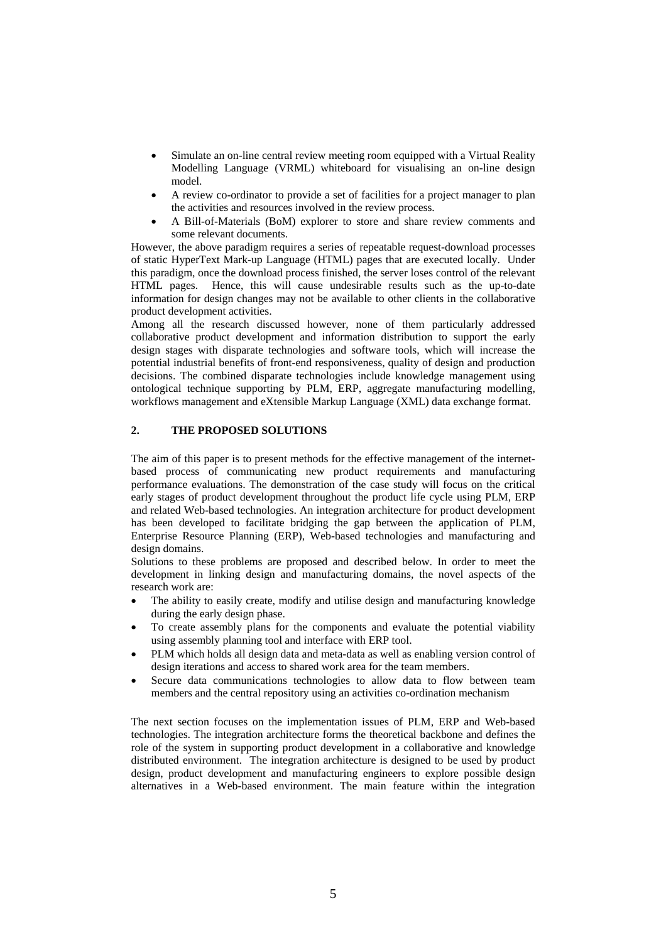- Simulate an on-line central review meeting room equipped with a Virtual Reality Modelling Language (VRML) whiteboard for visualising an on-line design model.
- A review co-ordinator to provide a set of facilities for a project manager to plan the activities and resources involved in the review process.
- A Bill-of-Materials (BoM) explorer to store and share review comments and some relevant documents.

However, the above paradigm requires a series of repeatable request-download processes of static HyperText Mark-up Language (HTML) pages that are executed locally. Under this paradigm, once the download process finished, the server loses control of the relevant HTML pages. Hence, this will cause undesirable results such as the up-to-date information for design changes may not be available to other clients in the collaborative product development activities.

Among all the research discussed however, none of them particularly addressed collaborative product development and information distribution to support the early design stages with disparate technologies and software tools, which will increase the potential industrial benefits of front-end responsiveness, quality of design and production decisions. The combined disparate technologies include knowledge management using ontological technique supporting by PLM, ERP, aggregate manufacturing modelling, workflows management and eXtensible Markup Language (XML) data exchange format.

#### **2. THE PROPOSED SOLUTIONS**

The aim of this paper is to present methods for the effective management of the internetbased process of communicating new product requirements and manufacturing performance evaluations. The demonstration of the case study will focus on the critical early stages of product development throughout the product life cycle using PLM, ERP and related Web-based technologies. An integration architecture for product development has been developed to facilitate bridging the gap between the application of PLM, Enterprise Resource Planning (ERP), Web-based technologies and manufacturing and design domains.

Solutions to these problems are proposed and described below. In order to meet the development in linking design and manufacturing domains, the novel aspects of the research work are:

- The ability to easily create, modify and utilise design and manufacturing knowledge during the early design phase.
- To create assembly plans for the components and evaluate the potential viability using assembly planning tool and interface with ERP tool.
- PLM which holds all design data and meta-data as well as enabling version control of design iterations and access to shared work area for the team members.
- Secure data communications technologies to allow data to flow between team members and the central repository using an activities co-ordination mechanism

The next section focuses on the implementation issues of PLM, ERP and Web-based technologies. The integration architecture forms the theoretical backbone and defines the role of the system in supporting product development in a collaborative and knowledge distributed environment. The integration architecture is designed to be used by product design, product development and manufacturing engineers to explore possible design alternatives in a Web-based environment. The main feature within the integration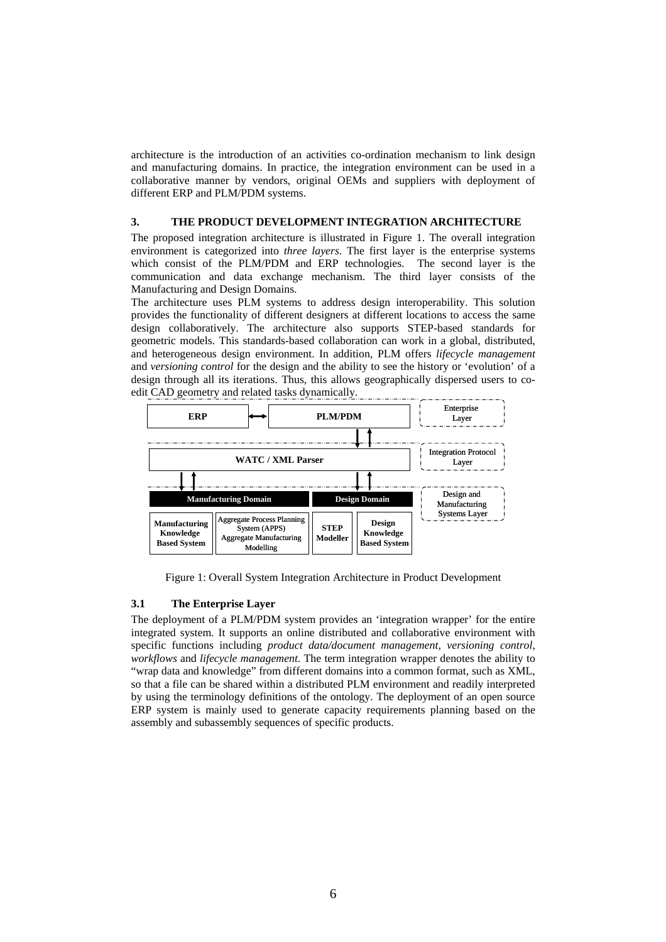architecture is the introduction of an activities co-ordination mechanism to link design and manufacturing domains. In practice, the integration environment can be used in a collaborative manner by vendors, original OEMs and suppliers with deployment of different ERP and PLM/PDM systems.

#### **3. THE PRODUCT DEVELOPMENT INTEGRATION ARCHITECTURE**

The proposed integration architecture is illustrated in Figure 1. The overall integration environment is categorized into *three layers*. The first layer is the enterprise systems which consist of the PLM/PDM and ERP technologies. The second layer is the communication and data exchange mechanism. The third layer consists of the Manufacturing and Design Domains.

The architecture uses PLM systems to address design interoperability. This solution provides the functionality of different designers at different locations to access the same design collaboratively. The architecture also supports STEP-based standards for geometric models. This standards-based collaboration can work in a global, distributed, and heterogeneous design environment. In addition, PLM offers *lifecycle management* and *versioning control* for the design and the ability to see the history or 'evolution' of a design through all its iterations. Thus, this allows geographically dispersed users to coedit CAD geometry and related tasks dynamically.



Figure 1: Overall System Integration Architecture in Product Development

#### **3.1 The Enterprise Layer**

The deployment of a PLM/PDM system provides an 'integration wrapper' for the entire integrated system. It supports an online distributed and collaborative environment with specific functions including *product data/document management*, *versioning control*, *workflows* and *lifecycle management*. The term integration wrapper denotes the ability to "wrap data and knowledge" from different domains into a common format, such as XML, so that a file can be shared within a distributed PLM environment and readily interpreted by using the terminology definitions of the ontology. The deployment of an open source ERP system is mainly used to generate capacity requirements planning based on the assembly and subassembly sequences of specific products.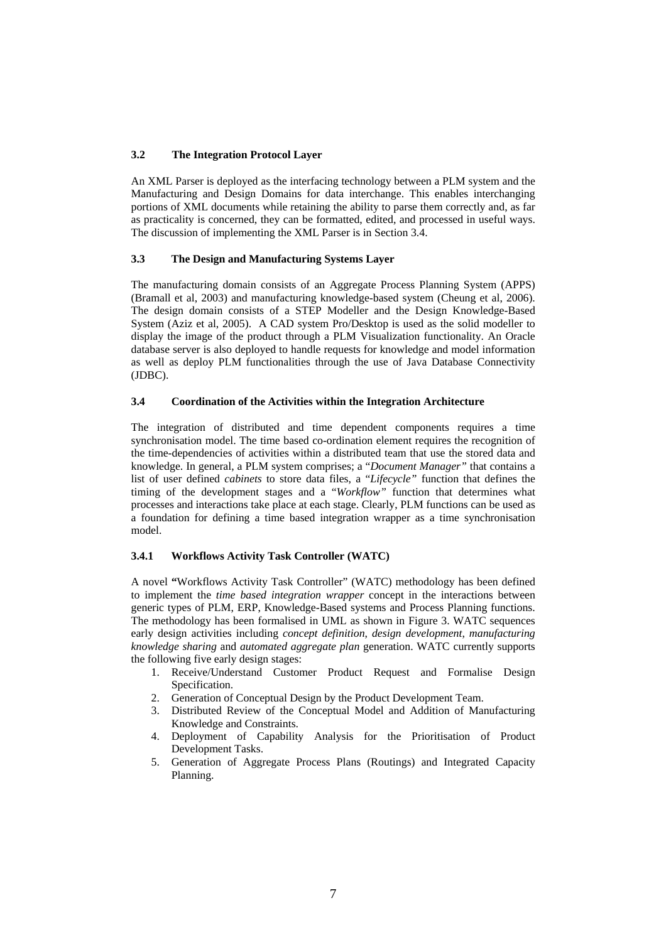## **3.2 The Integration Protocol Layer**

An XML Parser is deployed as the interfacing technology between a PLM system and the Manufacturing and Design Domains for data interchange. This enables interchanging portions of XML documents while retaining the ability to parse them correctly and, as far as practicality is concerned, they can be formatted, edited, and processed in useful ways. The discussion of implementing the XML Parser is in Section 3.4.

#### **3.3 The Design and Manufacturing Systems Layer**

The manufacturing domain consists of an Aggregate Process Planning System (APPS) (Bramall et al, 2003) and manufacturing knowledge-based system (Cheung et al, 2006). The design domain consists of a STEP Modeller and the Design Knowledge-Based System (Aziz et al, 2005). A CAD system Pro/Desktop is used as the solid modeller to display the image of the product through a PLM Visualization functionality. An Oracle database server is also deployed to handle requests for knowledge and model information as well as deploy PLM functionalities through the use of Java Database Connectivity (JDBC).

#### **3.4 Coordination of the Activities within the Integration Architecture**

The integration of distributed and time dependent components requires a time synchronisation model. The time based co-ordination element requires the recognition of the time-dependencies of activities within a distributed team that use the stored data and knowledge. In general, a PLM system comprises; a "*Document Manager"* that contains a list of user defined *cabinets* to store data files, a "*Lifecycle"* function that defines the timing of the development stages and a "*Workflow"* function that determines what processes and interactions take place at each stage. Clearly, PLM functions can be used as a foundation for defining a time based integration wrapper as a time synchronisation model.

## **3.4.1 Workflows Activity Task Controller (WATC)**

A novel **"**Workflows Activity Task Controller" (WATC) methodology has been defined to implement the *time based integration wrapper* concept in the interactions between generic types of PLM, ERP, Knowledge-Based systems and Process Planning functions. The methodology has been formalised in UML as shown in Figure 3. WATC sequences early design activities including *concept definition*, *design development*, *manufacturing knowledge sharing* and *automated aggregate plan* generation. WATC currently supports the following five early design stages:

- 1. Receive/Understand Customer Product Request and Formalise Design Specification.
- 2. Generation of Conceptual Design by the Product Development Team.
- 3. Distributed Review of the Conceptual Model and Addition of Manufacturing Knowledge and Constraints.
- 4. Deployment of Capability Analysis for the Prioritisation of Product Development Tasks.
- 5. Generation of Aggregate Process Plans (Routings) and Integrated Capacity Planning.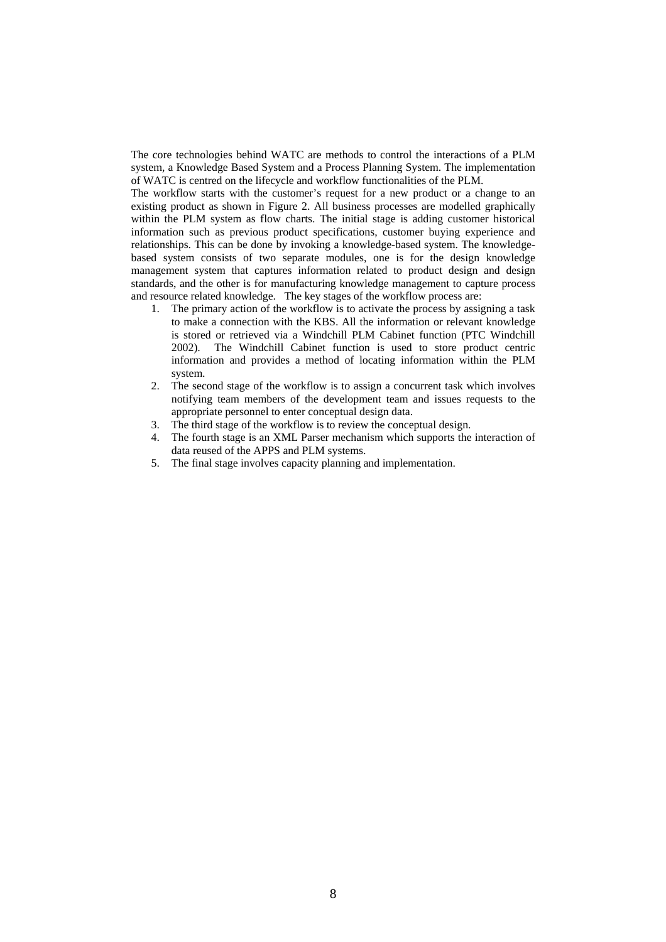The core technologies behind WATC are methods to control the interactions of a PLM system, a Knowledge Based System and a Process Planning System. The implementation of WATC is centred on the lifecycle and workflow functionalities of the PLM.

The workflow starts with the customer's request for a new product or a change to an existing product as shown in Figure 2. All business processes are modelled graphically within the PLM system as flow charts. The initial stage is adding customer historical information such as previous product specifications, customer buying experience and relationships. This can be done by invoking a knowledge-based system. The knowledgebased system consists of two separate modules, one is for the design knowledge management system that captures information related to product design and design standards, and the other is for manufacturing knowledge management to capture process and resource related knowledge. The key stages of the workflow process are:

- 1. The primary action of the workflow is to activate the process by assigning a task to make a connection with the KBS. All the information or relevant knowledge is stored or retrieved via a Windchill PLM Cabinet function (PTC Windchill 2002). The Windchill Cabinet function is used to store product centric information and provides a method of locating information within the PLM system.
- 2. The second stage of the workflow is to assign a concurrent task which involves notifying team members of the development team and issues requests to the appropriate personnel to enter conceptual design data.
- 3. The third stage of the workflow is to review the conceptual design.
- 4. The fourth stage is an XML Parser mechanism which supports the interaction of data reused of the APPS and PLM systems.
- 5. The final stage involves capacity planning and implementation.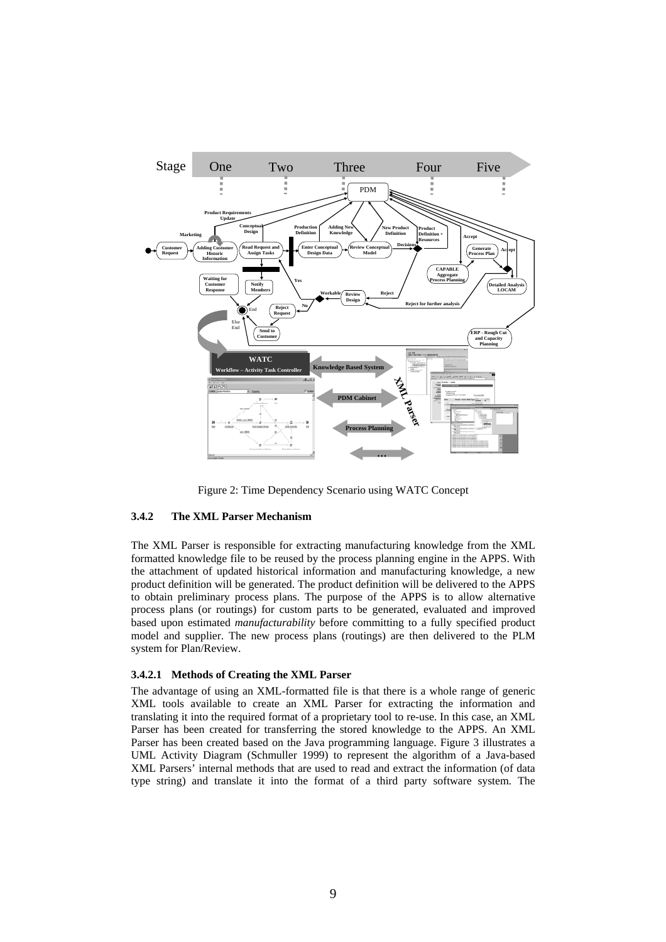

Figure 2: Time Dependency Scenario using WATC Concept

#### **3.4.2 The XML Parser Mechanism**

The XML Parser is responsible for extracting manufacturing knowledge from the XML formatted knowledge file to be reused by the process planning engine in the APPS. With the attachment of updated historical information and manufacturing knowledge, a new product definition will be generated. The product definition will be delivered to the APPS to obtain preliminary process plans. The purpose of the APPS is to allow alternative process plans (or routings) for custom parts to be generated, evaluated and improved based upon estimated *manufacturability* before committing to a fully specified product model and supplier. The new process plans (routings) are then delivered to the PLM system for Plan/Review.

#### **3.4.2.1 Methods of Creating the XML Parser**

The advantage of using an XML-formatted file is that there is a whole range of generic XML tools available to create an XML Parser for extracting the information and translating it into the required format of a proprietary tool to re-use. In this case, an XML Parser has been created for transferring the stored knowledge to the APPS. An XML Parser has been created based on the Java programming language. Figure 3 illustrates a UML Activity Diagram (Schmuller 1999) to represent the algorithm of a Java-based XML Parsers' internal methods that are used to read and extract the information (of data type string) and translate it into the format of a third party software system. The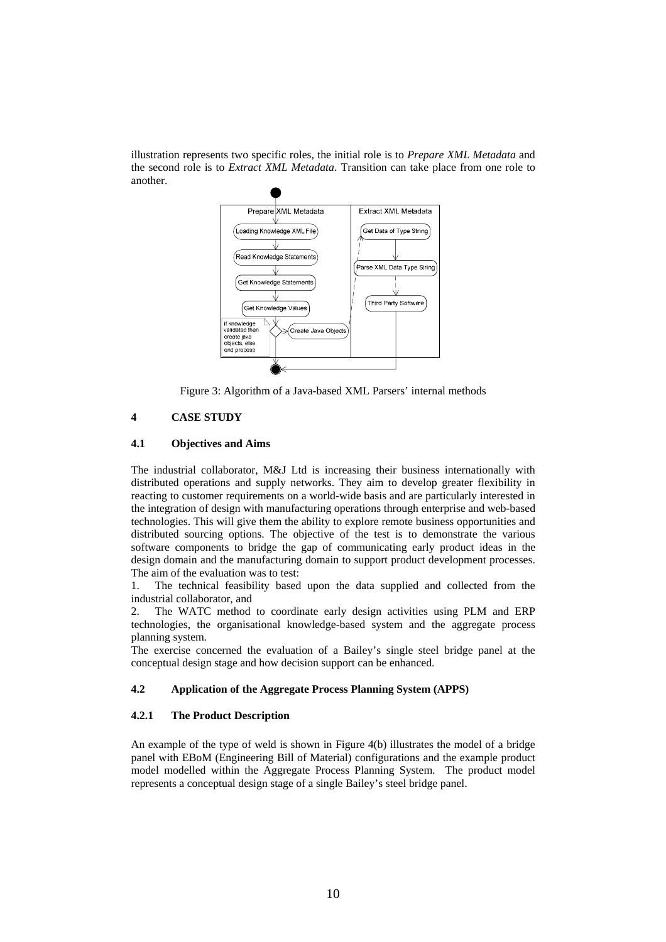illustration represents two specific roles, the initial role is to *Prepare XML Metadata* and the second role is to *Extract XML Metadata*. Transition can take place from one role to another.



Figure 3: Algorithm of a Java-based XML Parsers' internal methods

## **4 CASE STUDY**

#### **4.1 Objectives and Aims**

The industrial collaborator, M&J Ltd is increasing their business internationally with distributed operations and supply networks. They aim to develop greater flexibility in reacting to customer requirements on a world-wide basis and are particularly interested in the integration of design with manufacturing operations through enterprise and web-based technologies. This will give them the ability to explore remote business opportunities and distributed sourcing options. The objective of the test is to demonstrate the various software components to bridge the gap of communicating early product ideas in the design domain and the manufacturing domain to support product development processes. The aim of the evaluation was to test:

1. The technical feasibility based upon the data supplied and collected from the industrial collaborator, and

2. The WATC method to coordinate early design activities using PLM and ERP technologies, the organisational knowledge-based system and the aggregate process planning system.

The exercise concerned the evaluation of a Bailey's single steel bridge panel at the conceptual design stage and how decision support can be enhanced.

## **4.2 Application of the Aggregate Process Planning System (APPS)**

#### **4.2.1 The Product Description**

An example of the type of weld is shown in Figure 4(b) illustrates the model of a bridge panel with EBoM (Engineering Bill of Material) configurations and the example product model modelled within the Aggregate Process Planning System. The product model represents a conceptual design stage of a single Bailey's steel bridge panel.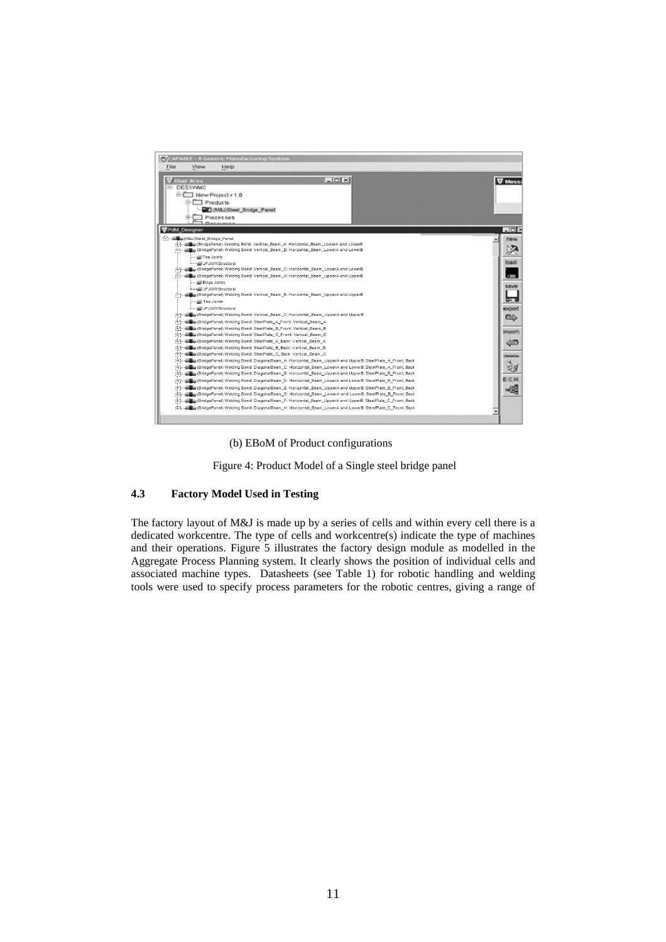| <b>CAPABLE - A Generic Manufacturing System</b>                                                                                                                                                                        |               |
|------------------------------------------------------------------------------------------------------------------------------------------------------------------------------------------------------------------------|---------------|
| File<br>View<br>Help                                                                                                                                                                                                   |               |
| $-0x$<br>User Area                                                                                                                                                                                                     | <b>W</b> Mess |
| E- DES1WMC                                                                                                                                                                                                             |               |
|                                                                                                                                                                                                                        |               |
| <b>SEE Products</b>                                                                                                                                                                                                    |               |
| M&J)Steel_Bridge_Panel                                                                                                                                                                                                 |               |
| <b>E-Compresses</b>                                                                                                                                                                                                    |               |
|                                                                                                                                                                                                                        |               |
| <b>WPdM</b> Designer                                                                                                                                                                                                   | $-10x$        |
| M&J)Steel_Bridge_Panel                                                                                                                                                                                                 | new           |
| (FridgePanel) Welding Bond: Vertical_Beam_A: Horizontal_Beam_LowerA and LowerB                                                                                                                                         |               |
| (BridgePanel) Welding Bond: Vertical_Beam_B: Horizontal_Beam_LowerA and LowerB) رين السلامية                                                                                                                           | 咚             |
| --- Tee Joints                                                                                                                                                                                                         |               |
| i- - - JFJMWStructural                                                                                                                                                                                                 | load          |
| (BridgePanel) Welding Bond: Vertical_Beam_C: Horizontal_Beam_LowerA and LowerB                                                                                                                                         | $\alpha$      |
| (BridgePanel) Welding Bond: Vertical Beam A: Horizontal Beam UpperA and UpperB                                                                                                                                         |               |
| -- Edge Joints                                                                                                                                                                                                         | save          |
| --- JFJMWStructural<br>BridgePanel) Welding Bond: Vertical_Beam_B: Horizontal_Beam_UpperA and UpperB (ﷺ) -----------------                                                                                             |               |
| -- I Tee Joints                                                                                                                                                                                                        |               |
| --- JFJMWStructural                                                                                                                                                                                                    | export        |
| (BridgePanel) Welding Bond: Vertical Beam C: Horizontal Beam UpperA and UpperB                                                                                                                                         | CO.           |
| (EridgePanel) Welding Bond; SteelPlate A Front; Vertical Beam A                                                                                                                                                        |               |
| (BridgePanel) Welding Bond: SteelPlate_B_Front: Vertical_Beam_B                                                                                                                                                        | mport!        |
| (BridgePanel) Welding Bond: SteelPlate_C_Front: Vertical_Beam_C                                                                                                                                                        |               |
| (BridgePanel) Welding Bond: SteelPlate A Back: Vertical Beam A                                                                                                                                                         | ÷             |
| (BridgePanel) Welding Bond: SteelPlate_B_Back: Vertical_Beam_B                                                                                                                                                         |               |
| (BridgePanel) Welding Bond: SteelPlate_C_Back: Vertical_Beam_C                                                                                                                                                         | delete        |
| (BridgePanel) Welding Bond: DiagonalBeam A: Horizontal Beam UpperA and UpperB: SteelPlate A Front, Back)<br>(BridgePanel) Welding Bond: DiagonalBeam_C: Horizontal_Beam_LowerA and LowerB: SteelPlate_A_Front, Back;\) | έø            |
| . Trip and Diplomation (BridgePanel) Welding Bond: DiagonalBeam_B: Horizontal_Beam_UpperA and UpperB: SteelPlate_B_Front, Back                                                                                         |               |
| (BridgePanel) Welding Bond: DiagonalBeam_D: Horizontal_Beam_LowerA and LowerB: SteelPlate_B_Front, Back;\); [                                                                                                          | E.C.M.        |
| (BridgePanel) Welding Bond: DiagonalBeam_E: Horizontal_Beam_UpperA and UpperB: SteelPlate_B_Front, Back;                                                                                                               |               |
| :∓?⊢- , BridgePanel) Welding Bond: DiagonalBeam_G: Horizontal_Beam_LowerA and LowerB: SteelPlate_B_Front, Back                                                                                                         | €             |
| (BridgePanel) Welding Bond: DiagonalBeam_F: Horizontal_Beam_UpperA and UpperB: SteelPlate_C_Front, Back                                                                                                                |               |
|                                                                                                                                                                                                                        |               |



Figure 4: Product Model of a Single steel bridge panel

## **4.3 Factory Model Used in Testing**

The factory layout of M&J is made up by a series of cells and within every cell there is a dedicated workcentre. The type of cells and workcentre(s) indicate the type of machines and their operations. Figure 5 illustrates the factory design module as modelled in the Aggregate Process Planning system. It clearly shows the position of individual cells and associated machine types. Datasheets (see Table 1) for robotic handling and welding tools were used to specify process parameters for the robotic centres, giving a range of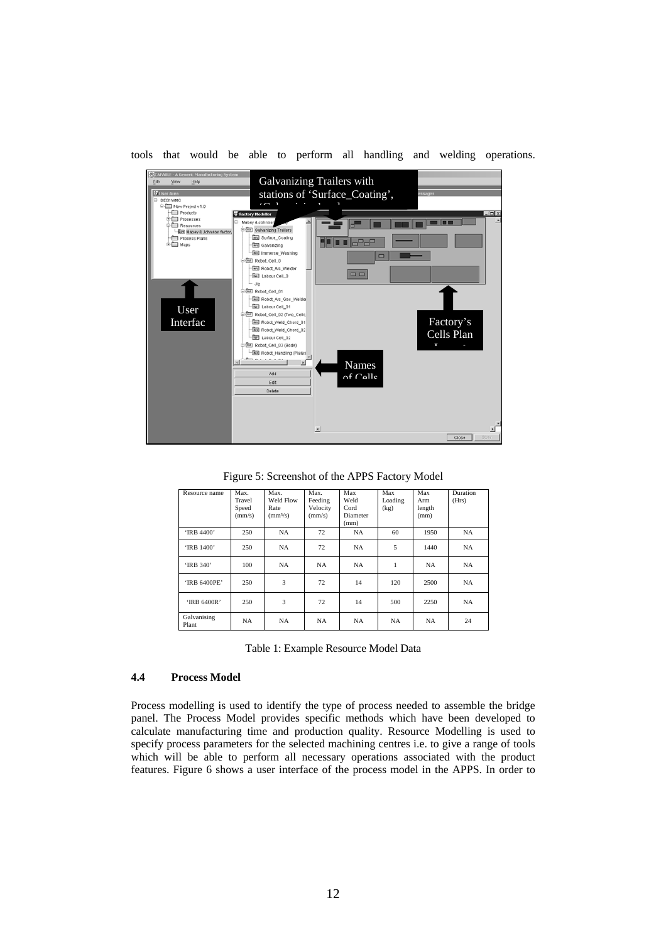

tools that would be able to perform all handling and welding operations.

Figure 5: Screenshot of the APPS Factory Model

| Resource name        | Max.<br>Travel<br>Speed<br>(mm/s) | Max.<br>Weld Flow<br>Rate<br>(mm <sup>3</sup> /s) | Max.<br>Feeding<br>Velocity<br>(mm/s) | Max<br>Weld<br>Cord<br>Diameter<br>(mm) | Max<br>Loading<br>(kg) | Max<br>Arm<br>length<br>(mm) | Duration<br>(Hrs) |
|----------------------|-----------------------------------|---------------------------------------------------|---------------------------------------|-----------------------------------------|------------------------|------------------------------|-------------------|
| 'IRB 4400'           | 250                               | <b>NA</b>                                         | 72                                    | NA                                      | 60                     | 1950                         | <b>NA</b>         |
| $'$ TRB 1400'        | 250                               | <b>NA</b>                                         | 72                                    | <b>NA</b>                               | 5                      |                              | <b>NA</b>         |
| 'IRB 340'            | 100                               | <b>NA</b>                                         | <b>NA</b>                             | <b>NA</b>                               | $\mathbf{1}$           |                              | NA                |
| 'IRB 6400PE'         | 250                               | 3                                                 | 72                                    | 14                                      | 120                    | 2500                         | <b>NA</b>         |
| 'IRB 6400R'          | 250                               | 3                                                 | 72                                    | 14                                      | 500                    |                              | <b>NA</b>         |
| Galvanising<br>Plant | <b>NA</b>                         | <b>NA</b>                                         | <b>NA</b>                             | <b>NA</b>                               | <b>NA</b>              | <b>NA</b>                    | 24                |

Table 1: Example Resource Model Data

#### **4.4 Process Model**

Process modelling is used to identify the type of process needed to assemble the bridge panel. The Process Model provides specific methods which have been developed to calculate manufacturing time and production quality. Resource Modelling is used to specify process parameters for the selected machining centres i.e. to give a range of tools which will be able to perform all necessary operations associated with the product features. Figure 6 shows a user interface of the process model in the APPS. In order to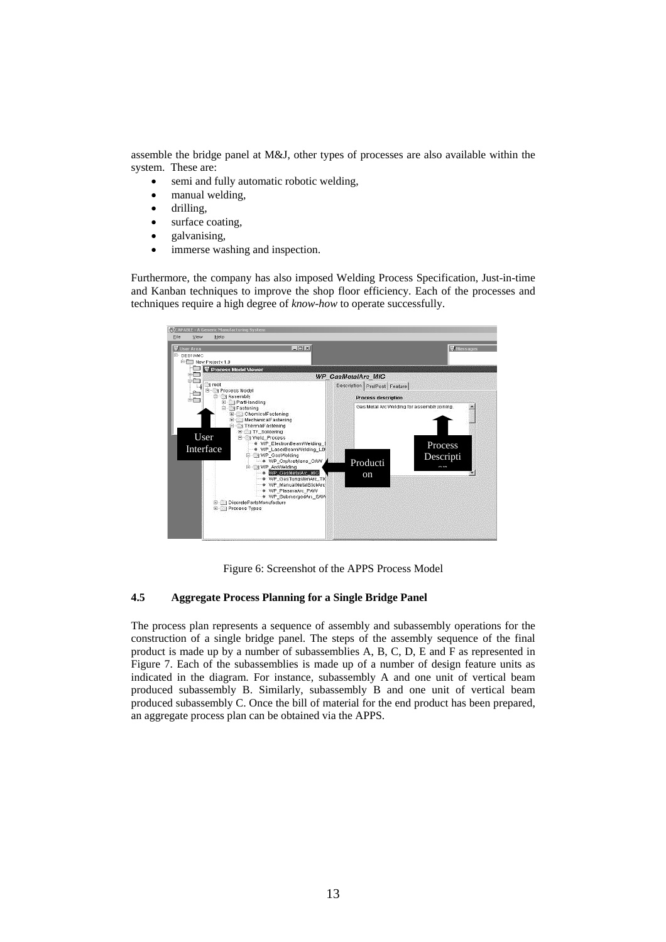assemble the bridge panel at M&J, other types of processes are also available within the system. These are:

- semi and fully automatic robotic welding,
- manual welding,
- drilling,
- surface coating,
- galvanising,
- immerse washing and inspection.

Furthermore, the company has also imposed Welding Process Specification, Just-in-time and Kanban techniques to improve the shop floor efficiency. Each of the processes and techniques require a high degree of *know-how* to operate successfully.



Figure 6: Screenshot of the APPS Process Model

## **4.5 Aggregate Process Planning for a Single Bridge Panel**

The process plan represents a sequence of assembly and subassembly operations for the construction of a single bridge panel. The steps of the assembly sequence of the final product is made up by a number of subassemblies A, B, C, D, E and F as represented in Figure 7. Each of the subassemblies is made up of a number of design feature units as indicated in the diagram. For instance, subassembly A and one unit of vertical beam produced subassembly B. Similarly, subassembly B and one unit of vertical beam produced subassembly C. Once the bill of material for the end product has been prepared, an aggregate process plan can be obtained via the APPS.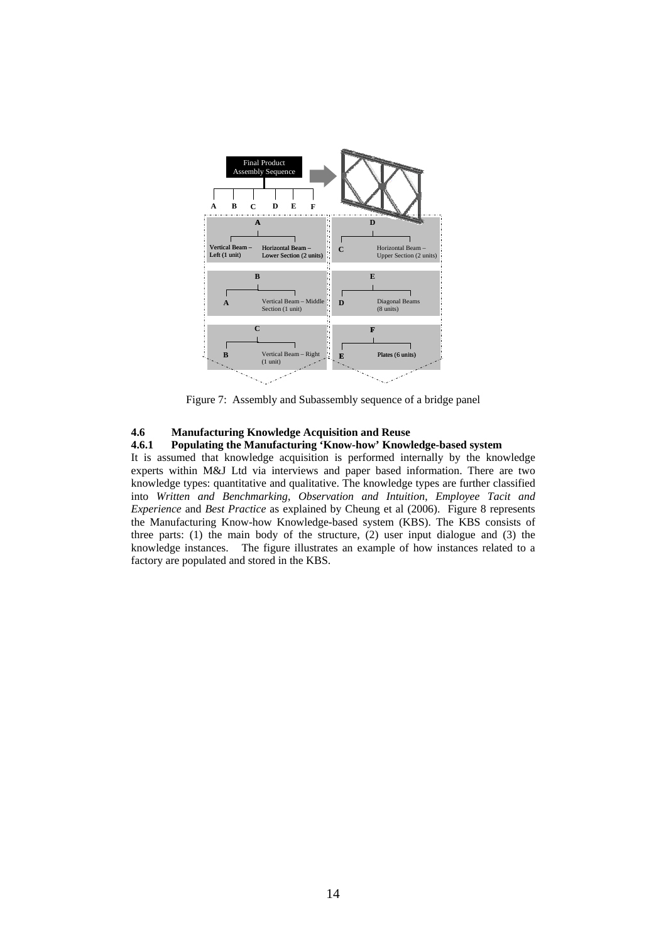

Figure 7: Assembly and Subassembly sequence of a bridge panel

## **4.6 Manufacturing Knowledge Acquisition and Reuse**

## **4.6.1 Populating the Manufacturing 'Know-how' Knowledge-based system**

It is assumed that knowledge acquisition is performed internally by the knowledge experts within M&J Ltd via interviews and paper based information. There are two knowledge types: quantitative and qualitative. The knowledge types are further classified into *Written and Benchmarking*, *Observation and Intuition*, *Employee Tacit and Experience* and *Best Practice* as explained by Cheung et al (2006). Figure 8 represents the Manufacturing Know-how Knowledge-based system (KBS). The KBS consists of three parts: (1) the main body of the structure, (2) user input dialogue and (3) the knowledge instances. The figure illustrates an example of how instances related to a factory are populated and stored in the KBS.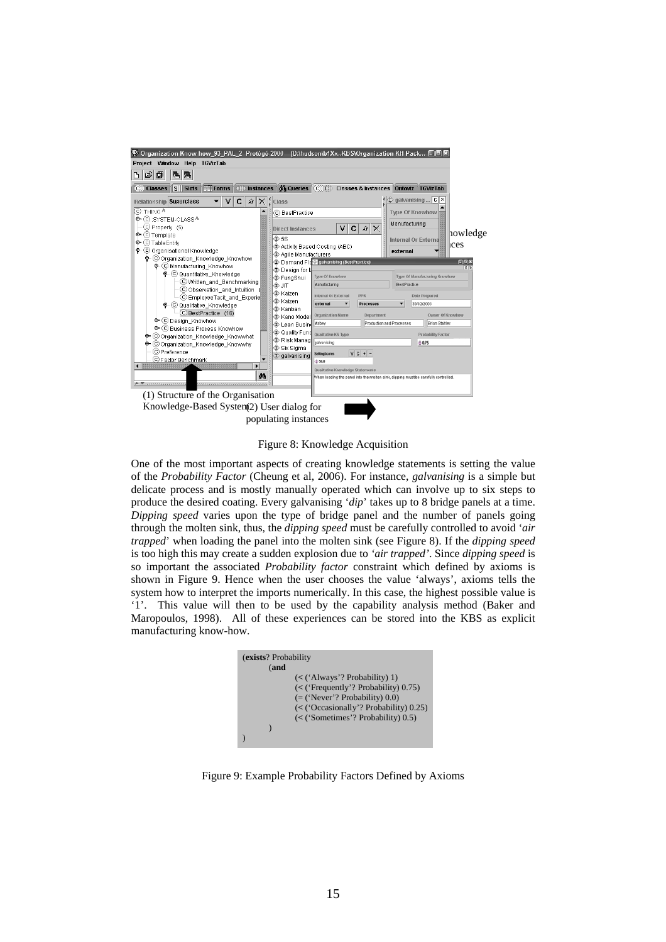

Figure 8: Knowledge Acquisition

One of the most important aspects of creating knowledge statements is setting the value of the *Probability Factor* (Cheung et al, 2006). For instance, *galvanising* is a simple but delicate process and is mostly manually operated which can involve up to six steps to produce the desired coating. Every galvanising '*dip*' takes up to 8 bridge panels at a time. *Dipping speed* varies upon the type of bridge panel and the number of panels going through the molten sink, thus, the *dipping speed* must be carefully controlled to avoid '*air trapped*' when loading the panel into the molten sink (see Figure 8). If the *dipping speed* is too high this may create a sudden explosion due to *'air trapped'*. Since *dipping speed* is so important the associated *Probability factor* constraint which defined by axioms is shown in Figure 9. Hence when the user chooses the value 'always', axioms tells the system how to interpret the imports numerically. In this case, the highest possible value is '1'. This value will then to be used by the capability analysis method (Baker and Maropoulos, 1998). All of these experiences can be stored into the KBS as explicit manufacturing know-how.



Figure 9: Example Probability Factors Defined by Axioms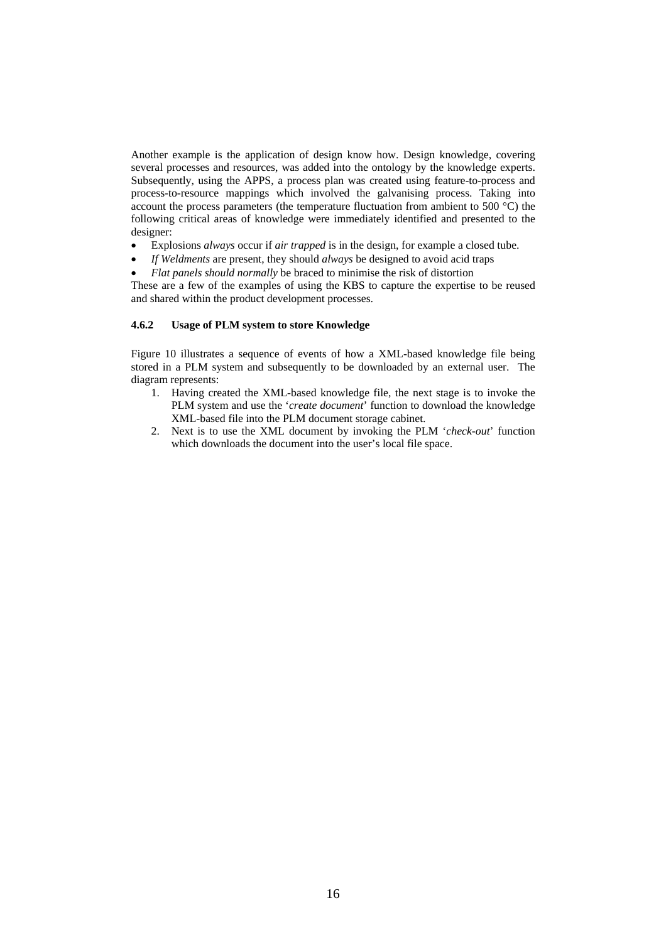Another example is the application of design know how. Design knowledge, covering several processes and resources, was added into the ontology by the knowledge experts. Subsequently, using the APPS, a process plan was created using feature-to-process and process-to-resource mappings which involved the galvanising process. Taking into account the process parameters (the temperature fluctuation from ambient to 500 °C) the following critical areas of knowledge were immediately identified and presented to the designer:

- Explosions *always* occur if *air trapped* is in the design, for example a closed tube.
- *If Weldments* are present, they should *always* be designed to avoid acid traps
- *Flat panels should normally* be braced to minimise the risk of distortion

These are a few of the examples of using the KBS to capture the expertise to be reused and shared within the product development processes.

#### **4.6.2 Usage of PLM system to store Knowledge**

Figure 10 illustrates a sequence of events of how a XML-based knowledge file being stored in a PLM system and subsequently to be downloaded by an external user. The diagram represents:

- 1. Having created the XML-based knowledge file, the next stage is to invoke the PLM system and use the '*create document*' function to download the knowledge XML-based file into the PLM document storage cabinet.
- 2. Next is to use the XML document by invoking the PLM '*check-out*' function which downloads the document into the user's local file space.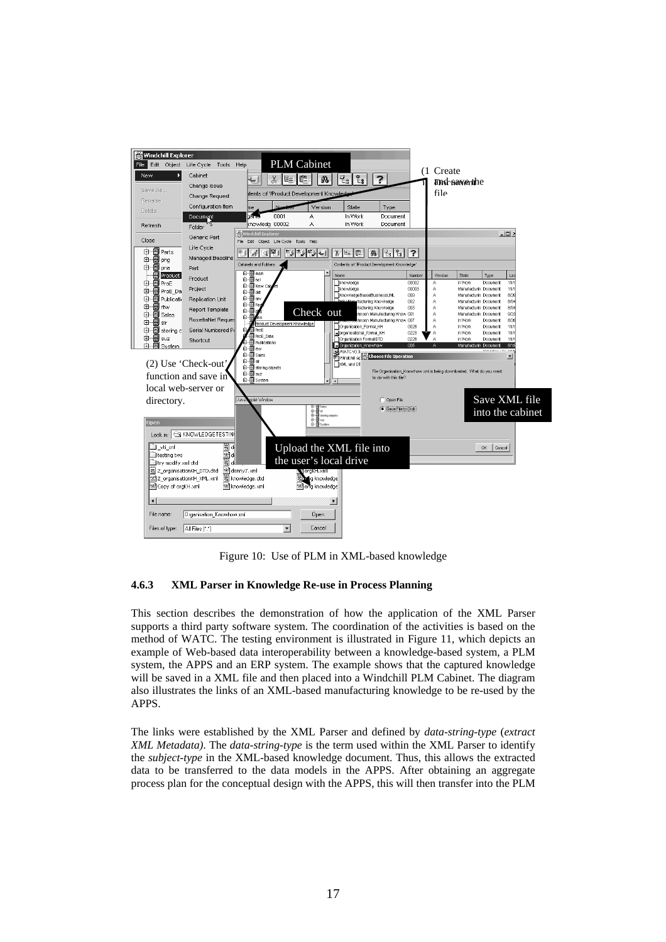

Figure 10: Use of PLM in XML-based knowledge

## **4.6.3 XML Parser in Knowledge Re-use in Process Planning**

This section describes the demonstration of how the application of the XML Parser supports a third party software system. The coordination of the activities is based on the method of WATC. The testing environment is illustrated in Figure 11, which depicts an example of Web-based data interoperability between a knowledge-based system, a PLM system, the APPS and an ERP system. The example shows that the captured knowledge will be saved in a XML file and then placed into a Windchill PLM Cabinet. The diagram also illustrates the links of an XML-based manufacturing knowledge to be re-used by the APPS.

The links were established by the XML Parser and defined by *data-string-type* (*extract XML Metadata)*. The *data-string-type* is the term used within the XML Parser to identify the *subject-type* in the XML-based knowledge document. Thus, this allows the extracted data to be transferred to the data models in the APPS. After obtaining an aggregate process plan for the conceptual design with the APPS, this will then transfer into the PLM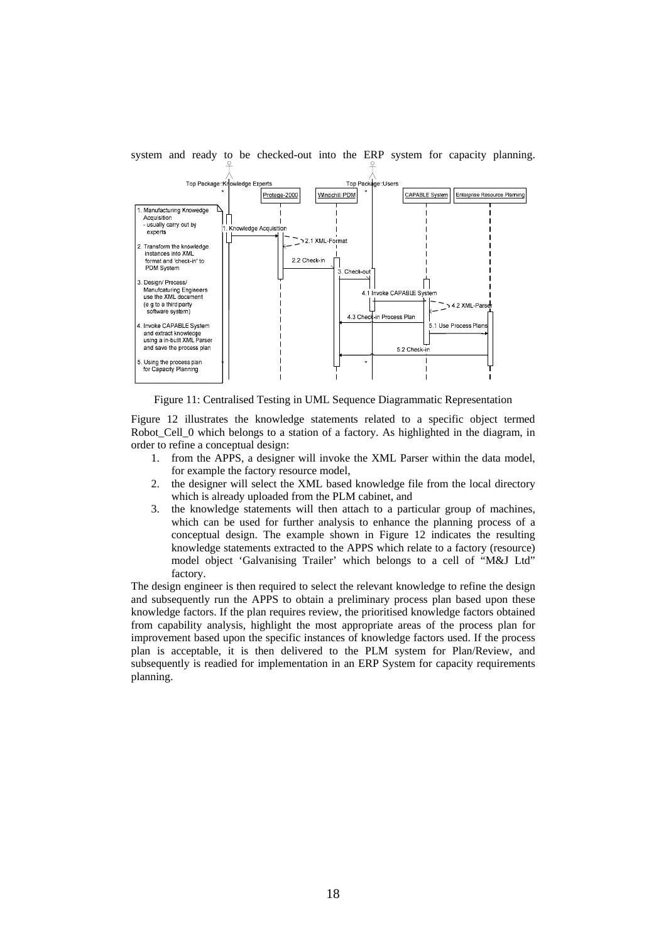

Figure 11: Centralised Testing in UML Sequence Diagrammatic Representation

Figure 12 illustrates the knowledge statements related to a specific object termed Robot\_Cell\_0 which belongs to a station of a factory. As highlighted in the diagram, in order to refine a conceptual design:

- 1. from the APPS, a designer will invoke the XML Parser within the data model, for example the factory resource model,
- 2. the designer will select the XML based knowledge file from the local directory which is already uploaded from the PLM cabinet, and
- 3. the knowledge statements will then attach to a particular group of machines, which can be used for further analysis to enhance the planning process of a conceptual design. The example shown in Figure 12 indicates the resulting knowledge statements extracted to the APPS which relate to a factory (resource) model object 'Galvanising Trailer' which belongs to a cell of "M&J Ltd" factory.

The design engineer is then required to select the relevant knowledge to refine the design and subsequently run the APPS to obtain a preliminary process plan based upon these knowledge factors. If the plan requires review, the prioritised knowledge factors obtained from capability analysis, highlight the most appropriate areas of the process plan for improvement based upon the specific instances of knowledge factors used. If the process plan is acceptable, it is then delivered to the PLM system for Plan/Review, and subsequently is readied for implementation in an ERP System for capacity requirements planning.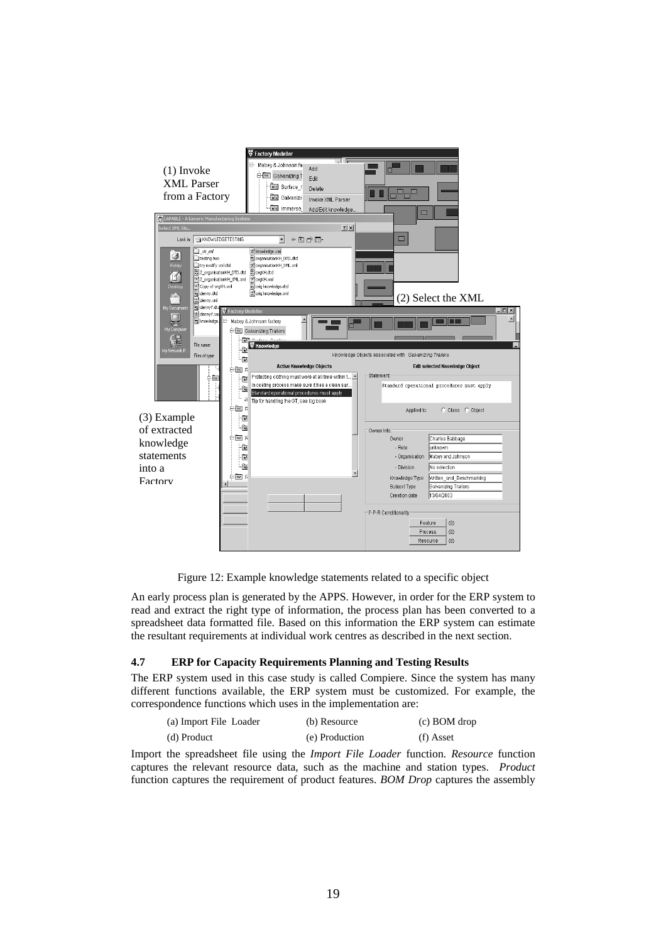![](_page_19_Figure_0.jpeg)

Figure 12: Example knowledge statements related to a specific object

An early process plan is generated by the APPS. However, in order for the ERP system to read and extract the right type of information, the process plan has been converted to a spreadsheet data formatted file. Based on this information the ERP system can estimate the resultant requirements at individual work centres as described in the next section.

#### **4.7 ERP for Capacity Requirements Planning and Testing Results**

The ERP system used in this case study is called Compiere. Since the system has many different functions available, the ERP system must be customized. For example, the correspondence functions which uses in the implementation are:

| (a) Import File Loader | (b) Resource   | (c) BOM drop |
|------------------------|----------------|--------------|
| (d) Product            | (e) Production | (f) Asset    |

Import the spreadsheet file using the *Import File Loader* function. *Resource* function captures the relevant resource data, such as the machine and station types. *Product* function captures the requirement of product features. *BOM Drop* captures the assembly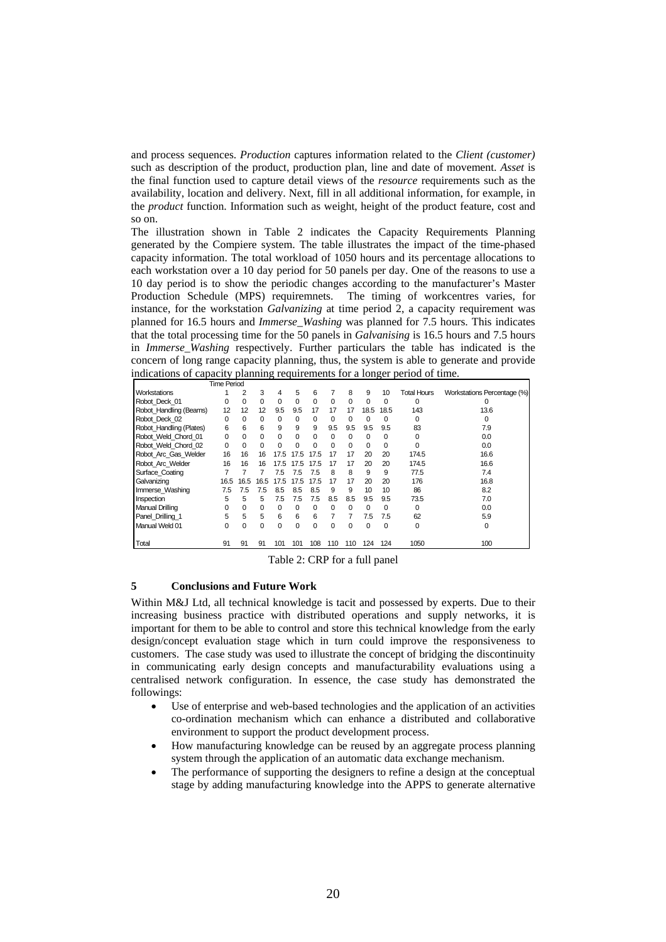and process sequences. *Production* captures information related to the *Client (customer)*  such as description of the product, production plan, line and date of movement. *Asset* is the final function used to capture detail views of the *resource* requirements such as the availability, location and delivery. Next, fill in all additional information, for example, in the *product* function. Information such as weight, height of the product feature, cost and so on.

The illustration shown in Table 2 indicates the Capacity Requirements Planning generated by the Compiere system. The table illustrates the impact of the time-phased capacity information. The total workload of 1050 hours and its percentage allocations to each workstation over a 10 day period for 50 panels per day. One of the reasons to use a 10 day period is to show the periodic changes according to the manufacturer's Master Production Schedule (MPS) requiremnets. The timing of workcentres varies, for instance, for the workstation *Galvanizing* at time period 2, a capacity requirement was planned for 16.5 hours and *Immerse\_Washing* was planned for 7.5 hours. This indicates that the total processing time for the 50 panels in *Galvanising* is 16.5 hours and 7.5 hours in *Immerse\_Washing* respectively. Further particulars the table has indicated is the concern of long range capacity planning, thus, the system is able to generate and provide indications of capacity planning requirements for a longer period of time.

|                         | <b>Time Period</b> |      |          |          |          |          |          |          |          |          |             |                             |
|-------------------------|--------------------|------|----------|----------|----------|----------|----------|----------|----------|----------|-------------|-----------------------------|
| Workstations            |                    | 2    | 3        | 4        | 5        | 6        |          | 8        | 9        | 10       | Total Hours | Workstations Percentage (%) |
| Robot Deck 01           | 0                  | 0    | 0        | $\Omega$ | 0        | 0        | $\Omega$ | 0        | 0        | $\Omega$ | 0           |                             |
| Robot_Handling (Beams)  | 12                 | 12   | 12       | 9.5      | 9.5      | 17       | 17       | 17       | 18.5     | 18.5     | 143         | 13.6                        |
| Robot_Deck_02           | $\Omega$           | 0    | $\Omega$ | $\Omega$ | 0        | $\Omega$ | $\Omega$ | 0        | $\Omega$ | $\Omega$ | $\Omega$    | 0                           |
| Robot Handling (Plates) | 6                  | 6    | 6        | 9        | 9        | 9        | 9.5      | 9.5      | 9.5      | 9.5      | 83          | 7.9                         |
| Robot Weld Chord 01     | O                  | O    | $\Omega$ | $\Omega$ | $\Omega$ | $\Omega$ | $\Omega$ | 0        | $\Omega$ | $\Omega$ | $\Omega$    | 0.0                         |
| Robot_Weld_Chord_02     | $\Omega$           | O    | $\Omega$ | $\Omega$ | $\Omega$ | $\Omega$ | $\Omega$ | $\Omega$ | $\Omega$ | $\Omega$ | $\Omega$    | 0.0                         |
| Robot_Arc_Gas_Welder    | 16                 | 16   | 16       | 17.5     | 17.5     | 17.5     | 17       | 17       | 20       | 20       | 174.5       | 16.6                        |
| Robot_Arc_Welder        | 16                 | 16   | 16       | 17.5     | 17.5     | 17.5     | 17       | 17       | 20       | 20       | 174.5       | 16.6                        |
| Surface_Coating         |                    |      |          | 7.5      | 7.5      | 7.5      | 8        | 8        | 9        | 9        | 77.5        | 7.4                         |
| Galvanizing             | 16.5               | 16.5 | 16.5     | 17.5     | 17.5     | 17.5     | 17       | 17       | 20       | 20       | 176         | 16.8                        |
| Immerse Washing         | 7.5                | 7.5  | 7.5      | 8.5      | 8.5      | 8.5      | 9        | 9        | 10       | 10       | 86          | 8.2                         |
| Inspection              | 5                  | 5    | 5        | 7.5      | 7.5      | 7.5      | 8.5      | 8.5      | 9.5      | 9.5      | 73.5        | 7.0                         |
| <b>Manual Drilling</b>  | 0                  | 0    | 0        | $\Omega$ | 0        | 0        | $\Omega$ | 0        | 0        | $\Omega$ | $\Omega$    | 0.0                         |
| Panel Drilling 1        | 5                  | 5    | 5        | 6        | 6        | 6        |          |          | 7.5      | 7.5      | 62          | 5.9                         |
| Manual Weld 01          | 0                  | 0    | $\Omega$ | 0        | $\Omega$ | $\Omega$ | $\Omega$ | 0        | $\Omega$ | $\Omega$ | $\Omega$    | 0                           |
|                         |                    |      |          |          |          |          |          |          |          |          |             |                             |
| Total                   | 91                 | 91   | 91       | 101      | 101      | 108      | 110      | 110      | 124      | 124      | 1050        | 100                         |

Table 2: CRP for a full panel

## **5 Conclusions and Future Work**

Within M&J Ltd, all technical knowledge is tacit and possessed by experts. Due to their increasing business practice with distributed operations and supply networks, it is important for them to be able to control and store this technical knowledge from the early design/concept evaluation stage which in turn could improve the responsiveness to customers. The case study was used to illustrate the concept of bridging the discontinuity in communicating early design concepts and manufacturability evaluations using a centralised network configuration. In essence, the case study has demonstrated the followings:

- Use of enterprise and web-based technologies and the application of an activities co-ordination mechanism which can enhance a distributed and collaborative environment to support the product development process.
- How manufacturing knowledge can be reused by an aggregate process planning system through the application of an automatic data exchange mechanism.
- The performance of supporting the designers to refine a design at the conceptual stage by adding manufacturing knowledge into the APPS to generate alternative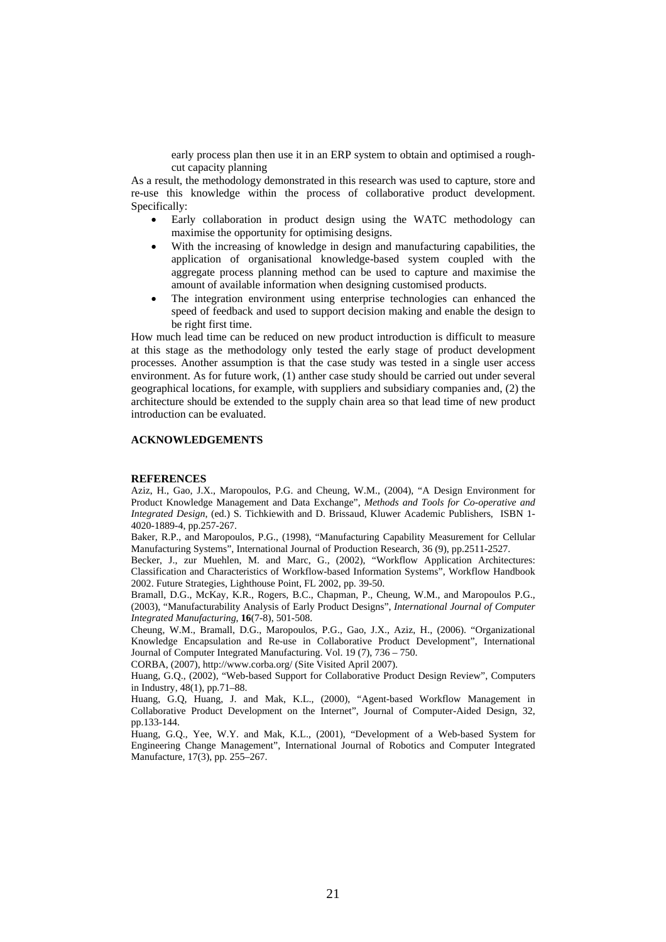early process plan then use it in an ERP system to obtain and optimised a roughcut capacity planning

As a result, the methodology demonstrated in this research was used to capture, store and re-use this knowledge within the process of collaborative product development. Specifically:

- Early collaboration in product design using the WATC methodology can maximise the opportunity for optimising designs.
- With the increasing of knowledge in design and manufacturing capabilities, the application of organisational knowledge-based system coupled with the aggregate process planning method can be used to capture and maximise the amount of available information when designing customised products.
- The integration environment using enterprise technologies can enhanced the speed of feedback and used to support decision making and enable the design to be right first time.

How much lead time can be reduced on new product introduction is difficult to measure at this stage as the methodology only tested the early stage of product development processes. Another assumption is that the case study was tested in a single user access environment. As for future work, (1) anther case study should be carried out under several geographical locations, for example, with suppliers and subsidiary companies and, (2) the architecture should be extended to the supply chain area so that lead time of new product introduction can be evaluated.

## **ACKNOWLEDGEMENTS**

#### **REFERENCES**

Aziz, H., Gao, J.X., Maropoulos, P.G. and Cheung, W.M., (2004), "A Design Environment for Product Knowledge Management and Data Exchange", *Methods and Tools for Co-operative and Integrated Design*, (ed.) S. Tichkiewith and D. Brissaud, Kluwer Academic Publishers, ISBN 1- 4020-1889-4, pp.257-267.

Baker, R.P., and Maropoulos, P.G., (1998), "Manufacturing Capability Measurement for Cellular Manufacturing Systems", International Journal of Production Research, 36 (9), pp.2511-2527.

Becker, J., zur Muehlen, M. and Marc, G., (2002), "Workflow Application Architectures: Classification and Characteristics of Workflow-based Information Systems", Workflow Handbook 2002. Future Strategies, Lighthouse Point, FL 2002, pp. 39-50.

Bramall, D.G., McKay, K.R., Rogers, B.C., Chapman, P., Cheung, W.M., and Maropoulos P.G., (2003), "Manufacturability Analysis of Early Product Designs", *International Journal of Computer Integrated Manufacturing*, **16**(7-8), 501-508.

Cheung, W.M., Bramall, D.G., Maropoulos, P.G., Gao, J.X., Aziz, H., (2006). "Organizational Knowledge Encapsulation and Re-use in Collaborative Product Development", International Journal of Computer Integrated Manufacturing. Vol. 19 (7), 736 – 750.

CORBA, (2007), http://www.corba.org/ (Site Visited April 2007).

Huang, G.Q., (2002), "Web-based Support for Collaborative Product Design Review", Computers in Industry, 48(1), pp.71–88.

Huang, G.Q, Huang, J. and Mak, K.L., (2000), "Agent-based Workflow Management in Collaborative Product Development on the Internet", Journal of Computer-Aided Design, 32, pp.133-144.

Huang, G.Q., Yee, W.Y. and Mak, K.L., (2001), "Development of a Web-based System for Engineering Change Management", International Journal of Robotics and Computer Integrated Manufacture, 17(3), pp. 255–267.